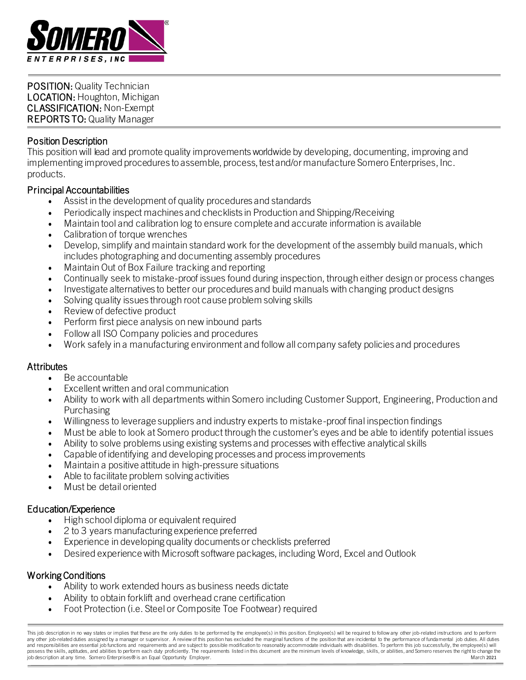

POSITION: Quality Technician LOCATION: Houghton, Michigan CLASSIFICATION: Non-Exempt REPORTS TO: Quality Manager

# Position Description

j

This position will lead and promote quality improvements worldwide by developing, documenting, improving and implementing improved procedures to assemble, process, test and/or manufacture Somero Enterprises, Inc. products.

## Principal Accountabilities

- Assist in the development of quality procedures and standards
- Periodically inspect machines and checklists in Production and Shipping/Receiving
- Maintain tool and calibration log to ensure complete and accurate information is available
- Calibration of torque wrenches
- Develop, simplify and maintain standard work for the development of the assembly build manuals, which includes photographing and documenting assembly procedures
- Maintain Out of Box Failure tracking and reporting
- Continually seek to mistake-proof issues found during inspection, through either design or process changes
- Investigate alternatives to better our procedures and build manuals with changing product designs
- Solving quality issues through root cause problem solving skills
- Review of defective product
- Perform first piece analysis on new inbound parts
- Follow all ISO Company policies and procedures
- Work safely in a manufacturing environment and follow all company safety policies and procedures

## **Attributes**

- Be accountable
- Excellent written and oral communication
- Ability to work with all departments within Somero including Customer Support, Engineering, Production and Purchasing
- Willingness to leverage suppliers and industry experts to mistake-proof final inspection findings
- Must be able to look at Somero product through the customer's eyes and be able to identify potential issues
- Ability to solve problems using existing systems and processes with effective analytical skills
- Capable ofidentifying and developing processes and process improvements
- Maintain a positive attitude in high-pressure situations
- Able to facilitate problem solving activities
- Must be detail oriented

## Education/Experience

- High school diploma or equivalent required
- 2 to 3 years manufacturing experience preferred
- Experience in developing quality documents or checklists preferred
- Desired experience with Microsoft software packages, including Word, Excel and Outlook

## Working Conditions

- Ability to work extended hours as business needs dictate
- Ability to obtain forklift and overhead crane certification
- Foot Protection (i.e. Steel or Composite Toe Footwear) required

This job description in no way states or implies that these are the only duties to be performed by the employee(s) in this position. Employee(s) will be required to follow any other job-related instructions and to perform any other job-related duties assigned by a manager or supervisor. A review of this position has excluded the marginal functions of the position that are incidental to the performance of fundamental job duties. All duties and responsibilities are essential job functions and requirements and are subject to possible modification to reasonably accommodate individuals with disabilities. To perform this job successfully, the employee(s) will possess the skills, aptitudes, and abilities to perform each duty proficiently. The requirements listed in this document are the minimum levels of knowledge, skills, or abilities, and Somero reserves the right to change th job description at any time. Somero Enterprises® is an Equal Opportunity Employer.